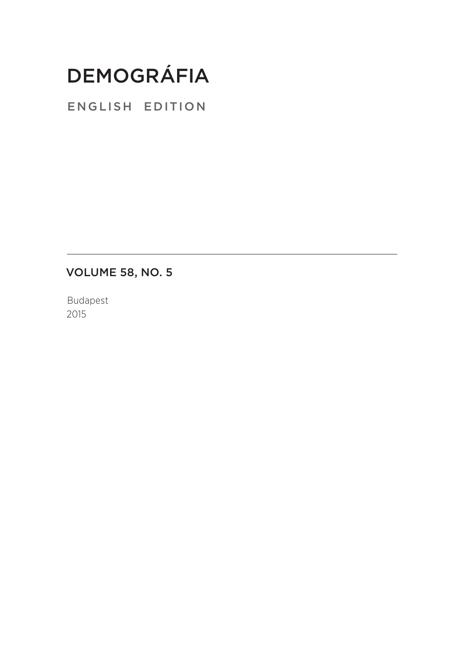## Demográfia

english edition

Volume 58, No. 5

Budapest 2015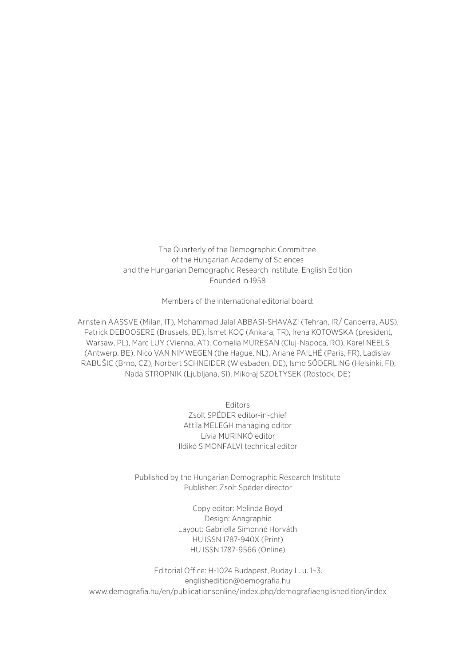The Quarterly of the Demographic Committee of the Hungarian Academy of Sciences and the Hungarian Demographic Research Institute, English Edition Founded in 1958

Members of the international editorial board:

Arnstein AASSVE (Milan, IT), Mohammad Jalal ABBASI-SHAVAZI (Tehran, IR/ Canberra, AUS), Patrick DEBOOSERE (Brussels, BE), İsmet KOÇ (Ankara, TR), Irena KOTOWSKA (president, Warsaw, PL), Marc LUY (Vienna, AT), Cornelia MUREŞAN (Cluj-Napoca, RO), Karel NEELS (Antwerp, BE), Nico VAN NIMWEGEN (the Hague, NL), Ariane PAILHÉ (Paris, FR), Ladislav RABUŠIC (Brno, CZ), Norbert SCHNEIDER (Wiesbaden, DE), Ismo SÖDERLING (Helsinki, FI), Nada STROPNIK (Ljubljana, SI), Mikołaj SZOŁTYSEK (Rostock, DE)

> Editors Zsolt SPÉDER editor-in-chief Attila MELEGH managing editor Lívia MURINKÓ editor Ildikó SIMONFALVI technical editor

Published by the Hungarian Demographic Research Institute Publisher: Zsolt Spéder director

> Copy editor: Melinda Boyd Design: Anagraphic Layout: Gabriella Simonné Horváth HU ISSN 1787-940X (Print) HU ISSN 1787-9566 (Online)

Editorial Office: H-1024 Budapest, Buday L. u. 1–3. englishedition@demografia.hu www.demografia.hu/en/publicationsonline/index.php/demografiaenglishedition/index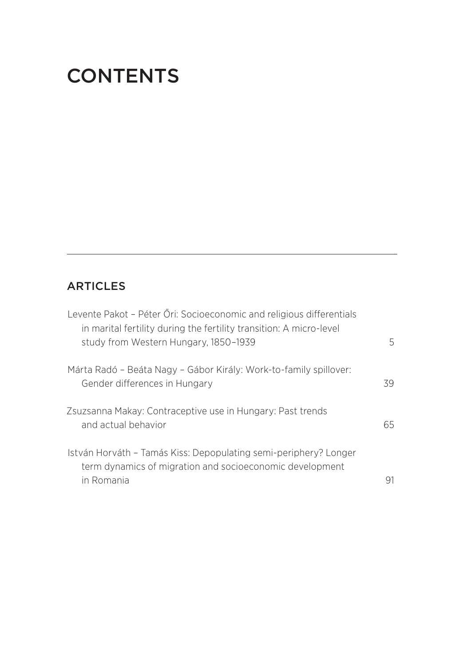## **CONTENTS**

## **ARTICLES**

| Levente Pakot - Péter Őri: Socioeconomic and religious differentials<br>in marital fertility during the fertility transition: A micro-level<br>study from Western Hungary, 1850-1939 | 5  |
|--------------------------------------------------------------------------------------------------------------------------------------------------------------------------------------|----|
| Márta Radó – Beáta Nagy – Gábor Király: Work-to-family spillover:<br>Gender differences in Hungary                                                                                   | 39 |
| Zsuzsanna Makay: Contraceptive use in Hungary: Past trends<br>and actual behavior                                                                                                    | 65 |
| István Horváth – Tamás Kiss: Depopulating semi-periphery? Longer<br>term dynamics of migration and socioeconomic development<br>in Romania                                           |    |